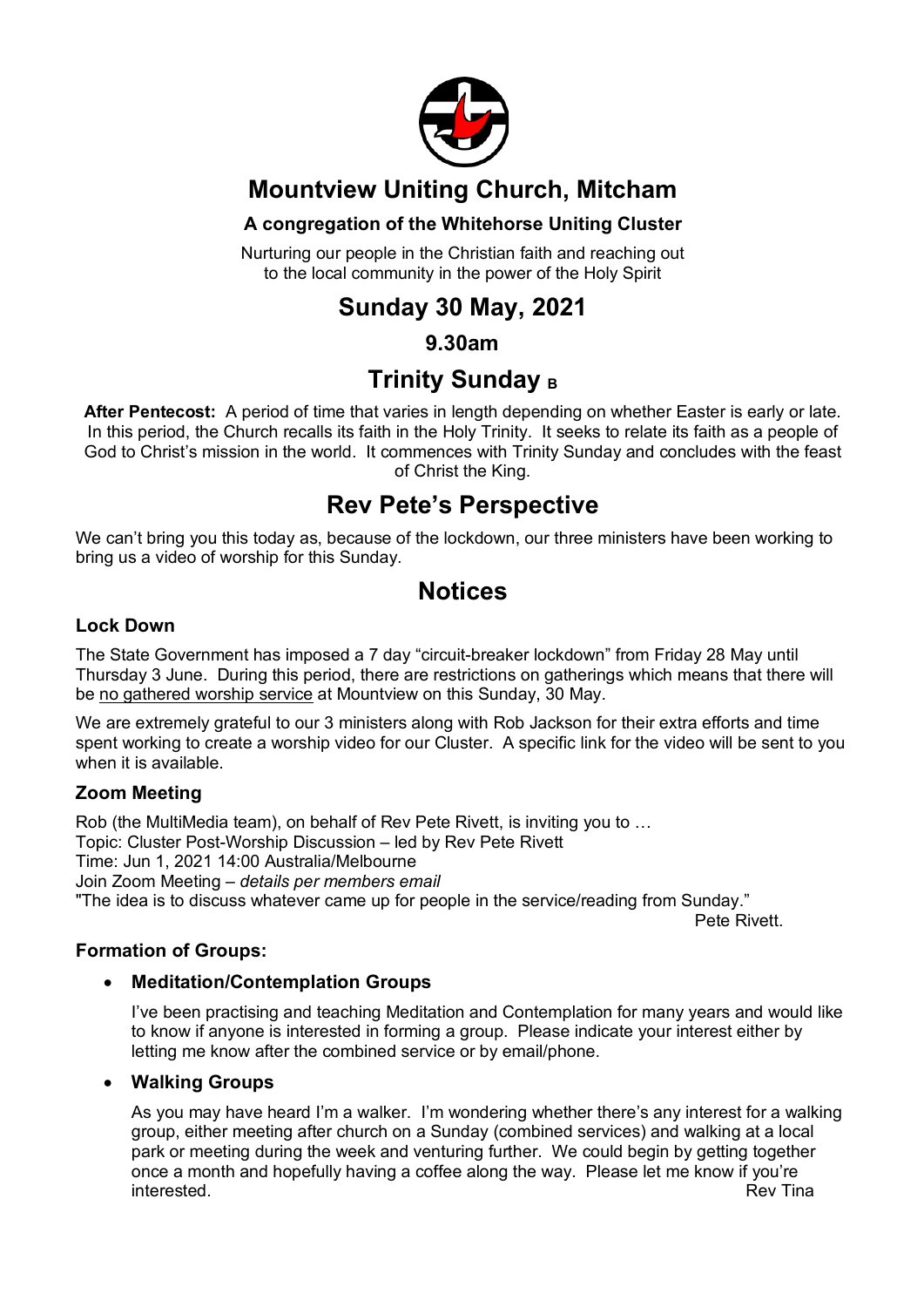

## **Mountview Uniting Church, Mitcham**

#### **A congregation of the Whitehorse Uniting Cluster**

Nurturing our people in the Christian faith and reaching out to the local community in the power of the Holy Spirit

## **Sunday 30 May, 2021**

#### **9.30am**

## **Trinity Sunday B**

**After Pentecost:** A period of time that varies in length depending on whether Easter is early or late. In this period, the Church recalls its faith in the Holy Trinity. It seeks to relate its faith as a people of God to Christ's mission in the world. It commences with Trinity Sunday and concludes with the feast of Christ the King.

## **Rev Pete's Perspective**

We can't bring you this today as, because of the lockdown, our three ministers have been working to bring us a video of worship for this Sunday.

### **Notices**

#### **Lock Down**

The State Government has imposed a 7 day "circuit-breaker lockdown" from Friday 28 May until Thursday 3 June. During this period, there are restrictions on gatherings which means that there will be no gathered worship service at Mountview on this Sunday, 30 May.

We are extremely grateful to our 3 ministers along with Rob Jackson for their extra efforts and time spent working to create a worship video for our Cluster. A specific link for the video will be sent to you when it is available.

#### **Zoom Meeting**

Rob (the MultiMedia team), on behalf of Rev Pete Rivett, is inviting you to … Topic: Cluster Post-Worship Discussion – led by Rev Pete Rivett Time: Jun 1, 2021 14:00 Australia/Melbourne Join Zoom Meeting – *details per members email* "The idea is to discuss whatever came up for people in the service/reading from Sunday."

Pete Rivett.

#### **Formation of Groups:**

#### • **Meditation/Contemplation Groups**

I've been practising and teaching Meditation and Contemplation for many years and would like to know if anyone is interested in forming a group. Please indicate your interest either by letting me know after the combined service or by email/phone.

#### • **Walking Groups**

As you may have heard I'm a walker. I'm wondering whether there's any interest for a walking group, either meeting after church on a Sunday (combined services) and walking at a local park or meeting during the week and venturing further. We could begin by getting together once a month and hopefully having a coffee along the way. Please let me know if you're interested. The contract of the contract of the contract of the contract of the contract of the contract of the contract of the contract of the contract of the contract of the contract of the contract of the contract of th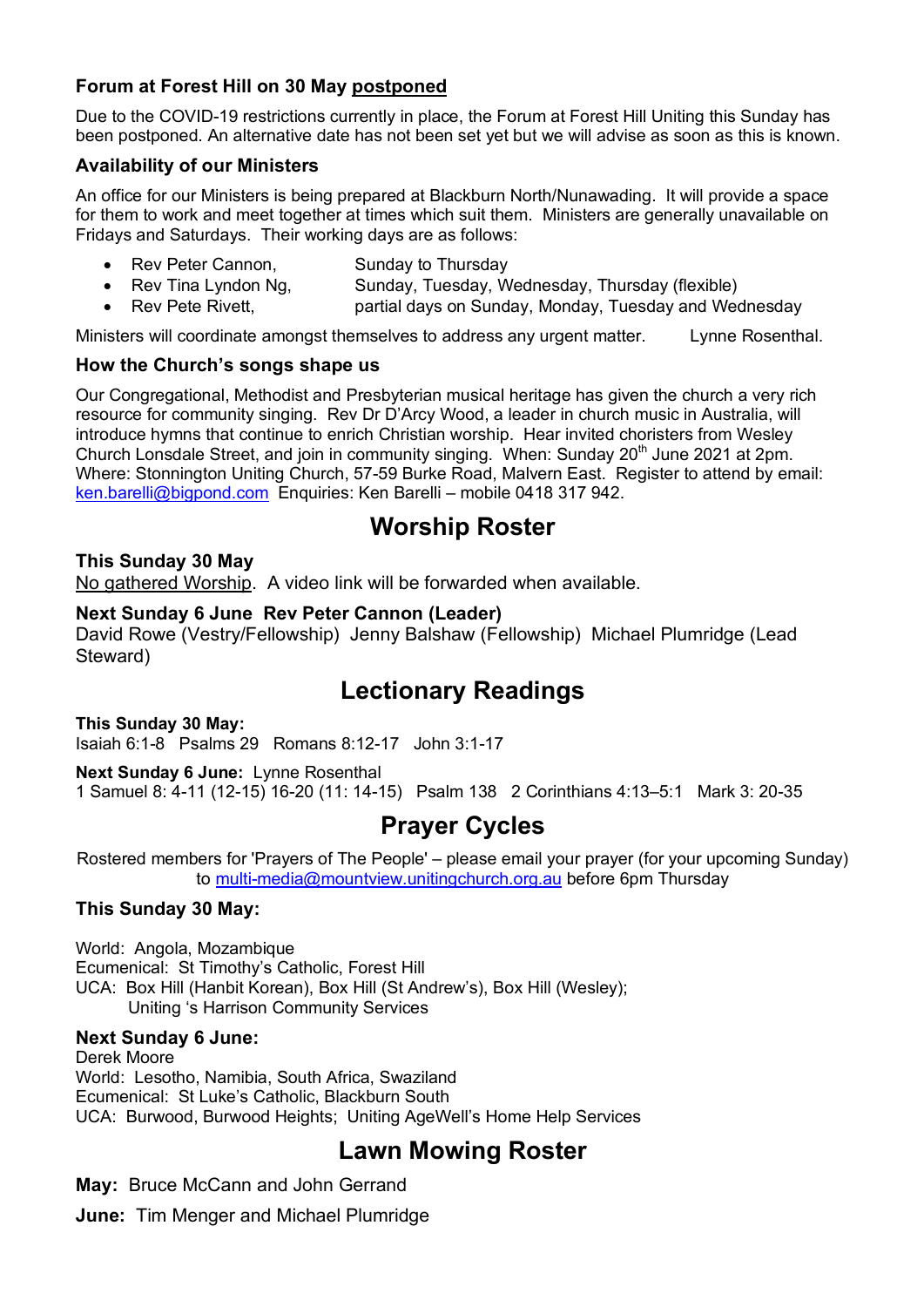#### **Forum at Forest Hill on 30 May postponed**

Due to the COVID-19 restrictions currently in place, the Forum at Forest Hill Uniting this Sunday has been postponed. An alternative date has not been set yet but we will advise as soon as this is known.

#### **Availability of our Ministers**

An office for our Ministers is being prepared at Blackburn North/Nunawading. It will provide a space for them to work and meet together at times which suit them. Ministers are generally unavailable on Fridays and Saturdays. Their working days are as follows:

- **Rev Peter Cannon, Sunday to Thursday**
- Rev Tina Lyndon Ng, Sunday, Tuesday, Wednesday, Thursday (flexible)
- Rev Pete Rivett, partial days on Sunday, Monday, Tuesday and Wednesday

Ministers will coordinate amongst themselves to address any urgent matter. Lynne Rosenthal.

#### **How the Church's songs shape us**

Our Congregational, Methodist and Presbyterian musical heritage has given the church a very rich resource for community singing. Rev Dr D'Arcy Wood, a leader in church music in Australia, will introduce hymns that continue to enrich Christian worship. Hear invited choristers from Wesley Church Lonsdale Street, and join in community singing. When: Sunday 20<sup>th</sup> June 2021 at 2pm. Where: Stonnington Uniting Church, 57-59 Burke Road, Malvern East. Register to attend by email: ken.barelli@bigpond.com Enquiries: Ken Barelli – mobile 0418 317 942.

## **Worship Roster**

#### **This Sunday 30 May**

No gathered Worship. A video link will be forwarded when available.

#### **Next Sunday 6 June Rev Peter Cannon (Leader)**

David Rowe (Vestry/Fellowship) Jenny Balshaw (Fellowship) Michael Plumridge (Lead Steward)

## **Lectionary Readings**

**This Sunday 30 May:** 

Isaiah 6:1-8 Psalms 29 Romans 8:12-17 John 3:1-17

**Next Sunday 6 June:** Lynne Rosenthal

1 Samuel 8: 4-11 (12-15) 16-20 (11: 14-15) Psalm 138 2 Corinthians 4:13–5:1 Mark 3: 20-35

## **Prayer Cycles**

Rostered members for 'Prayers of The People' – please email your prayer (for your upcoming Sunday) to multi-media@mountview.unitingchurch.org.au before 6pm Thursday

#### **This Sunday 30 May:**

World: Angola, Mozambique Ecumenical: St Timothy's Catholic, Forest Hill UCA: Box Hill (Hanbit Korean), Box Hill (St Andrew's), Box Hill (Wesley); Uniting 's Harrison Community Services

#### **Next Sunday 6 June:**

Derek Moore World: Lesotho, Namibia, South Africa, Swaziland Ecumenical: St Luke's Catholic, Blackburn South UCA: Burwood, Burwood Heights; Uniting AgeWell's Home Help Services

## **Lawn Mowing Roster**

**May:** Bruce McCann and John Gerrand

**June:** Tim Menger and Michael Plumridge